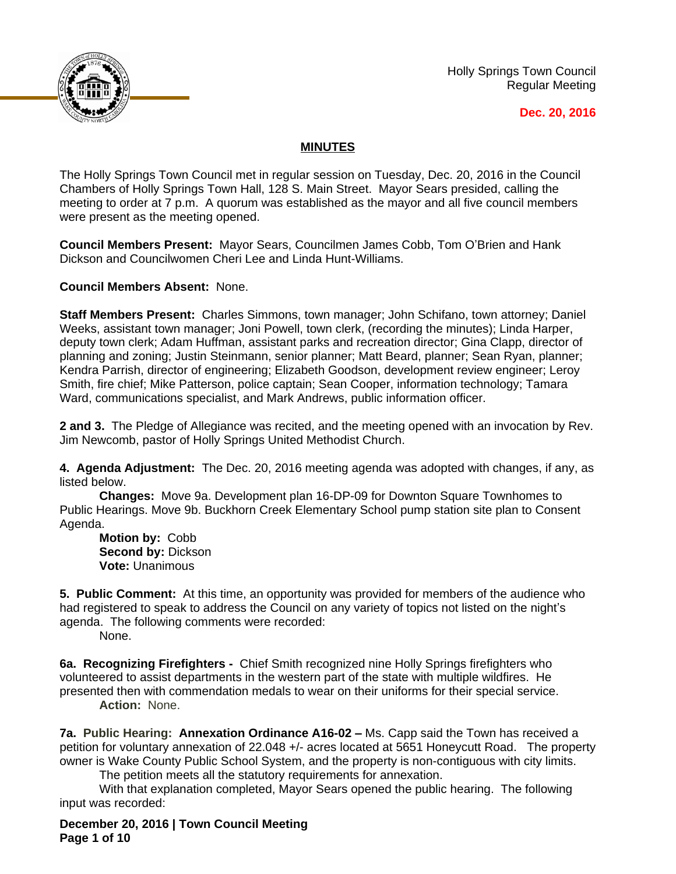

Holly Springs Town Council Regular Meeting

**Dec. 20, 2016**

# **MINUTES**

The Holly Springs Town Council met in regular session on Tuesday, Dec. 20, 2016 in the Council Chambers of Holly Springs Town Hall, 128 S. Main Street. Mayor Sears presided, calling the meeting to order at 7 p.m. A quorum was established as the mayor and all five council members were present as the meeting opened.

**Council Members Present:** Mayor Sears, Councilmen James Cobb, Tom O'Brien and Hank Dickson and Councilwomen Cheri Lee and Linda Hunt-Williams.

**Council Members Absent:** None.

**Staff Members Present:** Charles Simmons, town manager; John Schifano, town attorney; Daniel Weeks, assistant town manager; Joni Powell, town clerk, (recording the minutes); Linda Harper, deputy town clerk; Adam Huffman, assistant parks and recreation director; Gina Clapp, director of planning and zoning; Justin Steinmann, senior planner; Matt Beard, planner; Sean Ryan, planner; Kendra Parrish, director of engineering; Elizabeth Goodson, development review engineer; Leroy Smith, fire chief; Mike Patterson, police captain; Sean Cooper, information technology; Tamara Ward, communications specialist, and Mark Andrews, public information officer.

**2 and 3.** The Pledge of Allegiance was recited, and the meeting opened with an invocation by Rev. Jim Newcomb, pastor of Holly Springs United Methodist Church.

**4. Agenda Adjustment:** The Dec. 20, 2016 meeting agenda was adopted with changes, if any, as listed below.

**Changes:** Move 9a. Development plan 16-DP-09 for Downton Square Townhomes to Public Hearings. Move 9b. Buckhorn Creek Elementary School pump station site plan to Consent Agenda.

**Motion by:** Cobb **Second by:** Dickson **Vote:** Unanimous

**5. Public Comment:** At this time, an opportunity was provided for members of the audience who had registered to speak to address the Council on any variety of topics not listed on the night's agenda. The following comments were recorded:

None.

**6a. Recognizing Firefighters -** Chief Smith recognized nine Holly Springs firefighters who volunteered to assist departments in the western part of the state with multiple wildfires. He presented then with commendation medals to wear on their uniforms for their special service. **Action:** None.

**7a. Public Hearing: Annexation Ordinance A16-02 – Ms. Capp said the Town has received a** petition for voluntary annexation of 22.048 +/- acres located at 5651 Honeycutt Road. The property owner is Wake County Public School System, and the property is non-contiguous with city limits.

The petition meets all the statutory requirements for annexation.

With that explanation completed, Mayor Sears opened the public hearing. The following input was recorded:

**December 20, 2016 | Town Council Meeting Page 1 of 10**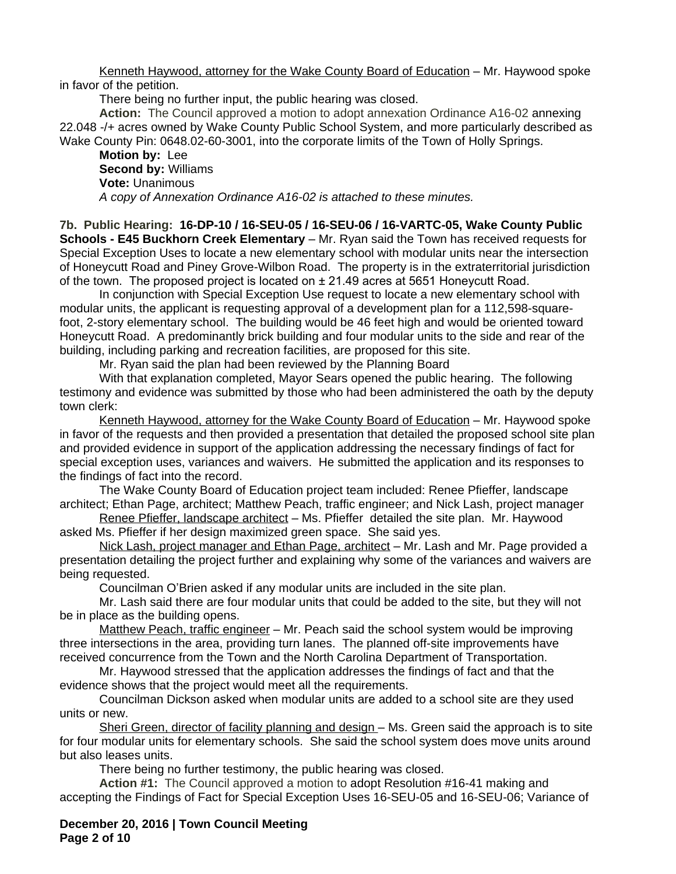Kenneth Haywood, attorney for the Wake County Board of Education – Mr. Haywood spoke in favor of the petition.

There being no further input, the public hearing was closed.

**Action:** The Council approved a motion to adopt annexation Ordinance A16-02 annexing 22.048 -/+ acres owned by Wake County Public School System, and more particularly described as Wake County Pin: 0648.02-60-3001, into the corporate limits of the Town of Holly Springs.

**Motion by:** Lee **Second by:** Williams **Vote:** Unanimous *A copy of Annexation Ordinance A16-02 is attached to these minutes.*

**7b. Public Hearing: 16-DP-10 / 16-SEU-05 / 16-SEU-06 / 16-VARTC-05, Wake County Public Schools - E45 Buckhorn Creek Elementary** – Mr. Ryan said the Town has received requests for Special Exception Uses to locate a new elementary school with modular units near the intersection of Honeycutt Road and Piney Grove-Wilbon Road. The property is in the extraterritorial jurisdiction of the town. The proposed project is located on  $\pm 21.49$  acres at 5651 Honeycutt Road.

In conjunction with Special Exception Use request to locate a new elementary school with modular units, the applicant is requesting approval of a development plan for a 112,598-squarefoot, 2-story elementary school. The building would be 46 feet high and would be oriented toward Honeycutt Road. A predominantly brick building and four modular units to the side and rear of the building, including parking and recreation facilities, are proposed for this site.

Mr. Ryan said the plan had been reviewed by the Planning Board

With that explanation completed, Mayor Sears opened the public hearing. The following testimony and evidence was submitted by those who had been administered the oath by the deputy town clerk:

Kenneth Haywood, attorney for the Wake County Board of Education – Mr. Haywood spoke in favor of the requests and then provided a presentation that detailed the proposed school site plan and provided evidence in support of the application addressing the necessary findings of fact for special exception uses, variances and waivers. He submitted the application and its responses to the findings of fact into the record.

The Wake County Board of Education project team included: Renee Pfieffer, landscape architect; Ethan Page, architect; Matthew Peach, traffic engineer; and Nick Lash, project manager

Renee Pfieffer, landscape architect - Ms. Pfieffer detailed the site plan. Mr. Haywood asked Ms. Pfieffer if her design maximized green space. She said yes.

Nick Lash, project manager and Ethan Page, architect - Mr. Lash and Mr. Page provided a presentation detailing the project further and explaining why some of the variances and waivers are being requested.

Councilman O'Brien asked if any modular units are included in the site plan.

Mr. Lash said there are four modular units that could be added to the site, but they will not be in place as the building opens.

Matthew Peach, traffic engineer - Mr. Peach said the school system would be improving three intersections in the area, providing turn lanes. The planned off-site improvements have received concurrence from the Town and the North Carolina Department of Transportation.

Mr. Haywood stressed that the application addresses the findings of fact and that the evidence shows that the project would meet all the requirements.

Councilman Dickson asked when modular units are added to a school site are they used units or new.

Sheri Green, director of facility planning and design - Ms. Green said the approach is to site for four modular units for elementary schools. She said the school system does move units around but also leases units.

There being no further testimony, the public hearing was closed.

**Action #1:** The Council approved a motion to adopt Resolution #16-41 making and accepting the Findings of Fact for Special Exception Uses 16-SEU-05 and 16-SEU-06; Variance of

**December 20, 2016 | Town Council Meeting Page 2 of 10**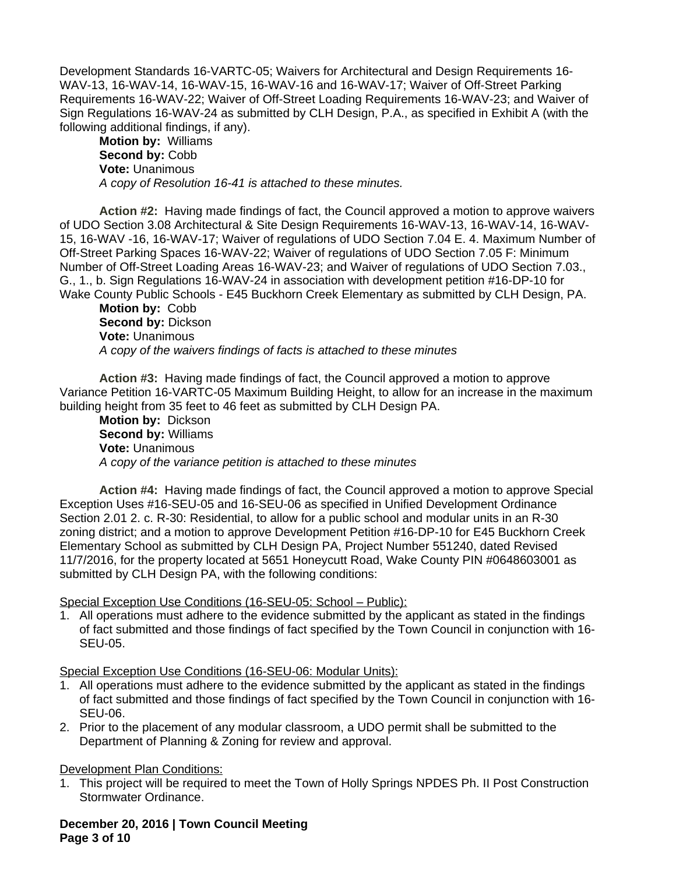Development Standards 16-VARTC-05; Waivers for Architectural and Design Requirements 16- WAV-13, 16-WAV-14, 16-WAV-15, 16-WAV-16 and 16-WAV-17; Waiver of Off-Street Parking Requirements 16-WAV-22; Waiver of Off-Street Loading Requirements 16-WAV-23; and Waiver of Sign Regulations 16-WAV-24 as submitted by CLH Design, P.A., as specified in Exhibit A (with the following additional findings, if any).

**Motion by:** Williams Second by: Cobb **Vote:** Unanimous *A copy of Resolution 16-41 is attached to these minutes.*

**Action #2:** Having made findings of fact, the Council approved a motion to approve waivers of UDO Section 3.08 Architectural & Site Design Requirements 16-WAV-13, 16-WAV-14, 16-WAV-15, 16-WAV -16, 16-WAV-17; Waiver of regulations of UDO Section 7.04 E. 4. Maximum Number of Off-Street Parking Spaces 16-WAV-22; Waiver of regulations of UDO Section 7.05 F: Minimum Number of Off-Street Loading Areas 16-WAV-23; and Waiver of regulations of UDO Section 7.03., G., 1., b. Sign Regulations 16-WAV-24 in association with development petition #16-DP-10 for Wake County Public Schools - E45 Buckhorn Creek Elementary as submitted by CLH Design, PA.

**Motion by:** Cobb **Second by:** Dickson **Vote:** Unanimous *A copy of the waivers findings of facts is attached to these minutes*

**Action #3:** Having made findings of fact, the Council approved a motion to approve Variance Petition 16-VARTC-05 Maximum Building Height, to allow for an increase in the maximum building height from 35 feet to 46 feet as submitted by CLH Design PA.

**Motion by:** Dickson **Second by:** Williams **Vote:** Unanimous *A copy of the variance petition is attached to these minutes*

**Action #4:** Having made findings of fact, the Council approved a motion to approve Special Exception Uses #16-SEU-05 and 16-SEU-06 as specified in Unified Development Ordinance Section 2.01 2. c. R-30: Residential, to allow for a public school and modular units in an R-30 zoning district; and a motion to approve Development Petition #16-DP-10 for E45 Buckhorn Creek Elementary School as submitted by CLH Design PA, Project Number 551240, dated Revised 11/7/2016, for the property located at 5651 Honeycutt Road, Wake County PIN #0648603001 as submitted by CLH Design PA, with the following conditions:

Special Exception Use Conditions (16-SEU-05: School – Public):

1. All operations must adhere to the evidence submitted by the applicant as stated in the findings of fact submitted and those findings of fact specified by the Town Council in conjunction with 16- SEU-05.

Special Exception Use Conditions (16-SEU-06: Modular Units):

- 1. All operations must adhere to the evidence submitted by the applicant as stated in the findings of fact submitted and those findings of fact specified by the Town Council in conjunction with 16- SEU-06.
- 2. Prior to the placement of any modular classroom, a UDO permit shall be submitted to the Department of Planning & Zoning for review and approval.

#### **Development Plan Conditions:**

1. This project will be required to meet the Town of Holly Springs NPDES Ph. II Post Construction Stormwater Ordinance.

**December 20, 2016 | Town Council Meeting Page 3 of 10**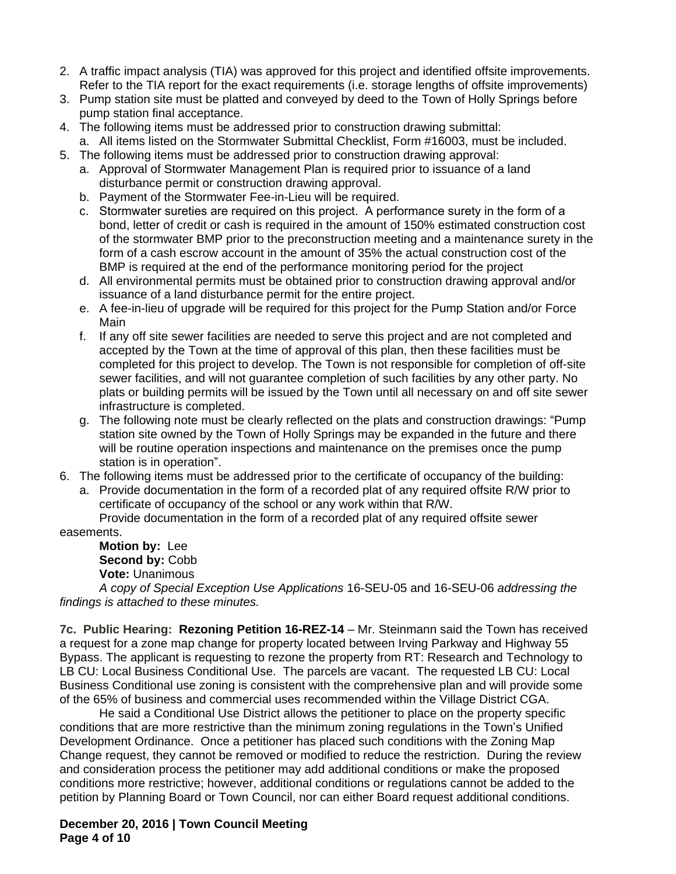- 2. A traffic impact analysis (TIA) was approved for this project and identified offsite improvements. Refer to the TIA report for the exact requirements (i.e. storage lengths of offsite improvements)
- 3. Pump station site must be platted and conveyed by deed to the Town of Holly Springs before pump station final acceptance.
- 4. The following items must be addressed prior to construction drawing submittal: a. All items listed on the Stormwater Submittal Checklist, Form #16003, must be included.
- 5. The following items must be addressed prior to construction drawing approval:
	- a. Approval of Stormwater Management Plan is required prior to issuance of a land disturbance permit or construction drawing approval.
	- b. Payment of the Stormwater Fee-in-Lieu will be required.
	- c. Stormwater sureties are required on this project. A performance surety in the form of a bond, letter of credit or cash is required in the amount of 150% estimated construction cost of the stormwater BMP prior to the preconstruction meeting and a maintenance surety in the form of a cash escrow account in the amount of 35% the actual construction cost of the BMP is required at the end of the performance monitoring period for the project
	- d. All environmental permits must be obtained prior to construction drawing approval and/or issuance of a land disturbance permit for the entire project.
	- e. A fee-in-lieu of upgrade will be required for this project for the Pump Station and/or Force Main
	- f. If any off site sewer facilities are needed to serve this project and are not completed and accepted by the Town at the time of approval of this plan, then these facilities must be completed for this project to develop. The Town is not responsible for completion of off-site sewer facilities, and will not guarantee completion of such facilities by any other party. No plats or building permits will be issued by the Town until all necessary on and off site sewer infrastructure is completed.
	- g. The following note must be clearly reflected on the plats and construction drawings: "Pump station site owned by the Town of Holly Springs may be expanded in the future and there will be routine operation inspections and maintenance on the premises once the pump station is in operation".
- 6. The following items must be addressed prior to the certificate of occupancy of the building:
	- a. Provide documentation in the form of a recorded plat of any required offsite R/W prior to certificate of occupancy of the school or any work within that R/W.

Provide documentation in the form of a recorded plat of any required offsite sewer easements.

**Motion by:** Lee **Second by:** Cobb **Vote:** Unanimous

*A copy of Special Exception Use Applications* 16-SEU-05 and 16-SEU-06 *addressing the findings is attached to these minutes.*

**7c. Public Hearing: Rezoning Petition 16-REZ-14** – Mr. Steinmann said the Town has received a request for a zone map change for property located between Irving Parkway and Highway 55 Bypass. The applicant is requesting to rezone the property from RT: Research and Technology to LB CU: Local Business Conditional Use. The parcels are vacant. The requested LB CU: Local Business Conditional use zoning is consistent with the comprehensive plan and will provide some of the 65% of business and commercial uses recommended within the Village District CGA.

He said a Conditional Use District allows the petitioner to place on the property specific conditions that are more restrictive than the minimum zoning regulations in the Town's Unified Development Ordinance. Once a petitioner has placed such conditions with the Zoning Map Change request, they cannot be removed or modified to reduce the restriction. During the review and consideration process the petitioner may add additional conditions or make the proposed conditions more restrictive; however, additional conditions or regulations cannot be added to the petition by Planning Board or Town Council, nor can either Board request additional conditions.

**December 20, 2016 | Town Council Meeting Page 4 of 10**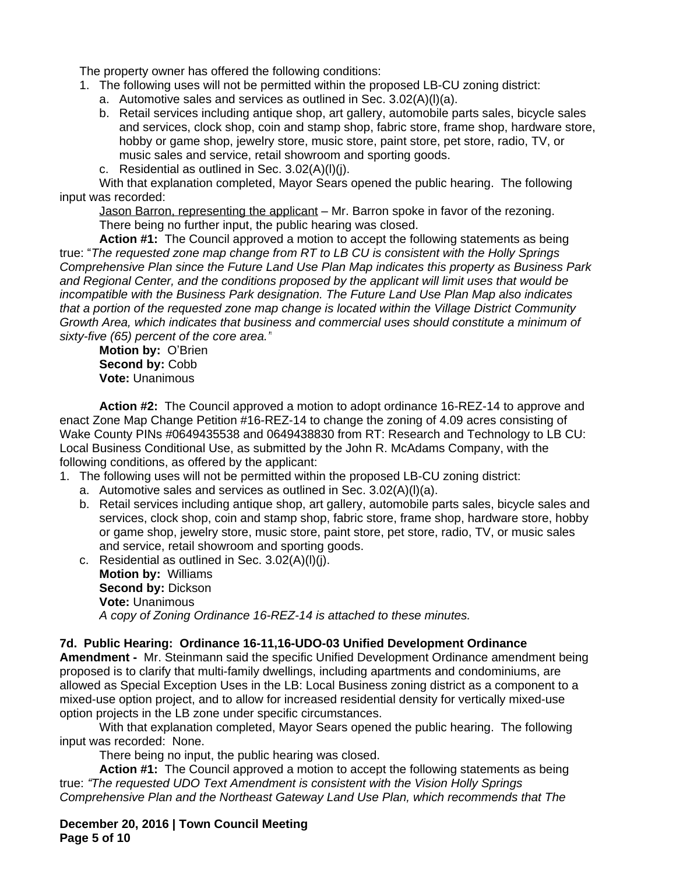The property owner has offered the following conditions:

- 1. The following uses will not be permitted within the proposed LB-CU zoning district:
	- a. Automotive sales and services as outlined in Sec. 3.02(A)(l)(a).
	- b. Retail services including antique shop, art gallery, automobile parts sales, bicycle sales and services, clock shop, coin and stamp shop, fabric store, frame shop, hardware store, hobby or game shop, jewelry store, music store, paint store, pet store, radio, TV, or music sales and service, retail showroom and sporting goods.
	- c. Residential as outlined in Sec. 3.02(A)(l)(j).

With that explanation completed, Mayor Sears opened the public hearing. The following input was recorded:

Jason Barron, representing the applicant – Mr. Barron spoke in favor of the rezoning. There being no further input, the public hearing was closed.

**Action #1:** The Council approved a motion to accept the following statements as being true: "*The requested zone map change from RT to LB CU is consistent with the Holly Springs Comprehensive Plan since the Future Land Use Plan Map indicates this property as Business Park and Regional Center, and the conditions proposed by the applicant will limit uses that would be incompatible with the Business Park designation. The Future Land Use Plan Map also indicates that a portion of the requested zone map change is located within the Village District Community Growth Area, which indicates that business and commercial uses should constitute a minimum of sixty-five (65) percent of the core area."*

**Motion by:** O'Brien **Second by:** Cobb **Vote:** Unanimous

**Action #2:** The Council approved a motion to adopt ordinance 16-REZ-14 to approve and enact Zone Map Change Petition #16-REZ-14 to change the zoning of 4.09 acres consisting of Wake County PINs #0649435538 and 0649438830 from RT: Research and Technology to LB CU: Local Business Conditional Use, as submitted by the John R. McAdams Company, with the following conditions, as offered by the applicant:

- 1. The following uses will not be permitted within the proposed LB-CU zoning district:
	- a. Automotive sales and services as outlined in Sec. 3.02(A)(l)(a).
	- b. Retail services including antique shop, art gallery, automobile parts sales, bicycle sales and services, clock shop, coin and stamp shop, fabric store, frame shop, hardware store, hobby or game shop, jewelry store, music store, paint store, pet store, radio, TV, or music sales and service, retail showroom and sporting goods.
	- c. Residential as outlined in Sec. 3.02(A)(l)(j). **Motion by:** Williams **Second by:** Dickson **Vote:** Unanimous *A copy of Zoning Ordinance 16-REZ-14 is attached to these minutes.*

## **7d. Public Hearing: Ordinance 16-11,16-UDO-03 Unified Development Ordinance**

**Amendment -** Mr. Steinmann said the specific Unified Development Ordinance amendment being proposed is to clarify that multi-family dwellings, including apartments and condominiums, are allowed as Special Exception Uses in the LB: Local Business zoning district as a component to a mixed-use option project, and to allow for increased residential density for vertically mixed-use option projects in the LB zone under specific circumstances.

With that explanation completed, Mayor Sears opened the public hearing. The following input was recorded: None.

There being no input, the public hearing was closed.

**Action #1:** The Council approved a motion to accept the following statements as being true: *"The requested UDO Text Amendment is consistent with the Vision Holly Springs Comprehensive Plan and the Northeast Gateway Land Use Plan, which recommends that The* 

**December 20, 2016 | Town Council Meeting Page 5 of 10**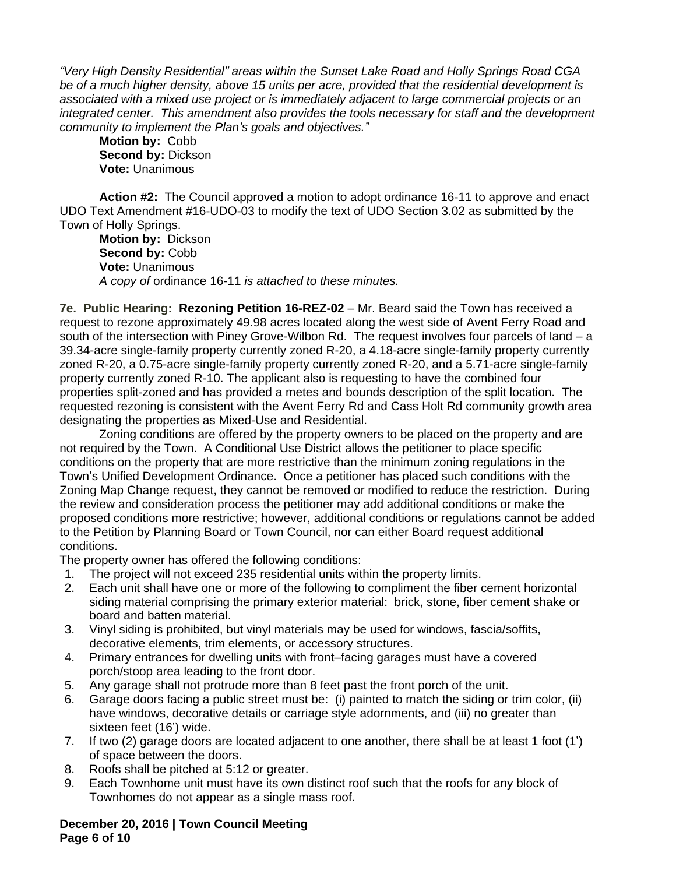*"Very High Density Residential" areas within the Sunset Lake Road and Holly Springs Road CGA be of a much higher density, above 15 units per acre, provided that the residential development is associated with a mixed use project or is immediately adjacent to large commercial projects or an integrated center. This amendment also provides the tools necessary for staff and the development community to implement the Plan's goals and objectives."*

**Motion by:** Cobb **Second by:** Dickson **Vote:** Unanimous

**Action #2:** The Council approved a motion to adopt ordinance 16-11 to approve and enact UDO Text Amendment #16-UDO-03 to modify the text of UDO Section 3.02 as submitted by the Town of Holly Springs.

**Motion by:** Dickson Second by: Cobb **Vote:** Unanimous *A copy of* ordinance 16-11 *is attached to these minutes.*

**7e. Public Hearing: Rezoning Petition 16-REZ-02** – Mr. Beard said the Town has received a request to rezone approximately 49.98 acres located along the west side of Avent Ferry Road and south of the intersection with Piney Grove-Wilbon Rd. The request involves four parcels of land – a 39.34-acre single-family property currently zoned R-20, a 4.18-acre single-family property currently zoned R-20, a 0.75-acre single-family property currently zoned R-20, and a 5.71-acre single-family property currently zoned R-10. The applicant also is requesting to have the combined four properties split-zoned and has provided a metes and bounds description of the split location. The requested rezoning is consistent with the Avent Ferry Rd and Cass Holt Rd community growth area designating the properties as Mixed-Use and Residential.

Zoning conditions are offered by the property owners to be placed on the property and are not required by the Town. A Conditional Use District allows the petitioner to place specific conditions on the property that are more restrictive than the minimum zoning regulations in the Town's Unified Development Ordinance. Once a petitioner has placed such conditions with the Zoning Map Change request, they cannot be removed or modified to reduce the restriction. During the review and consideration process the petitioner may add additional conditions or make the proposed conditions more restrictive; however, additional conditions or regulations cannot be added to the Petition by Planning Board or Town Council, nor can either Board request additional conditions.

The property owner has offered the following conditions:

- 1. The project will not exceed 235 residential units within the property limits.
- 2. Each unit shall have one or more of the following to compliment the fiber cement horizontal siding material comprising the primary exterior material: brick, stone, fiber cement shake or board and batten material.
- 3. Vinyl siding is prohibited, but vinyl materials may be used for windows, fascia/soffits, decorative elements, trim elements, or accessory structures.
- 4. Primary entrances for dwelling units with front–facing garages must have a covered porch/stoop area leading to the front door.
- 5. Any garage shall not protrude more than 8 feet past the front porch of the unit.
- 6. Garage doors facing a public street must be: (i) painted to match the siding or trim color, (ii) have windows, decorative details or carriage style adornments, and (iii) no greater than sixteen feet (16') wide.
- 7. If two (2) garage doors are located adjacent to one another, there shall be at least 1 foot (1') of space between the doors.
- 8. Roofs shall be pitched at 5:12 or greater.
- 9. Each Townhome unit must have its own distinct roof such that the roofs for any block of Townhomes do not appear as a single mass roof.

#### **December 20, 2016 | Town Council Meeting Page 6 of 10**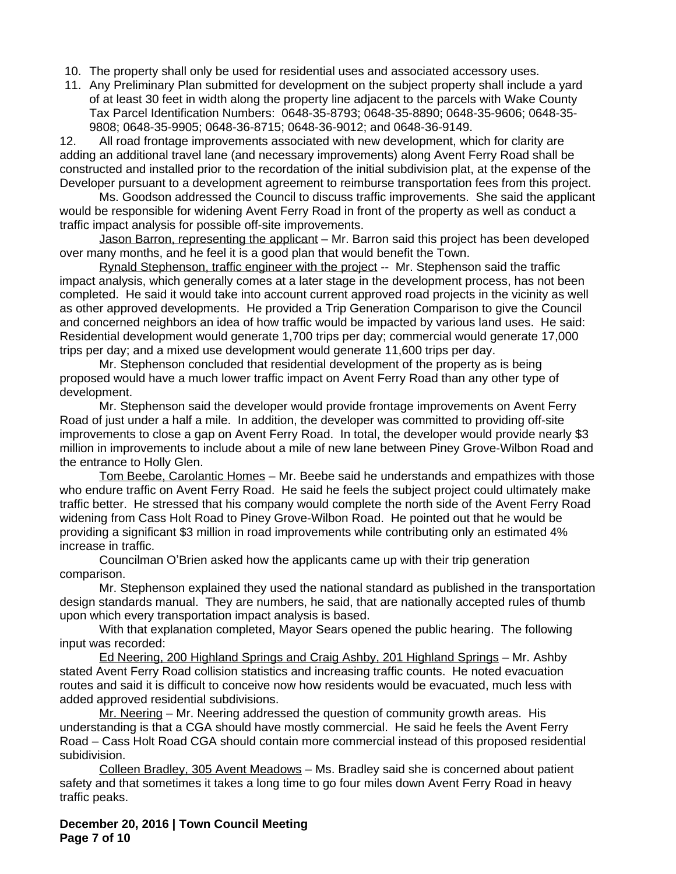- 10. The property shall only be used for residential uses and associated accessory uses.
- 11. Any Preliminary Plan submitted for development on the subject property shall include a yard of at least 30 feet in width along the property line adjacent to the parcels with Wake County Tax Parcel Identification Numbers: 0648-35-8793; 0648-35-8890; 0648-35-9606; 0648-35- 9808; 0648-35-9905; 0648-36-8715; 0648-36-9012; and 0648-36-9149.

12. All road frontage improvements associated with new development, which for clarity are adding an additional travel lane (and necessary improvements) along Avent Ferry Road shall be constructed and installed prior to the recordation of the initial subdivision plat, at the expense of the Developer pursuant to a development agreement to reimburse transportation fees from this project.

Ms. Goodson addressed the Council to discuss traffic improvements. She said the applicant would be responsible for widening Avent Ferry Road in front of the property as well as conduct a traffic impact analysis for possible off-site improvements.

Jason Barron, representing the applicant – Mr. Barron said this project has been developed over many months, and he feel it is a good plan that would benefit the Town.

Rynald Stephenson, traffic engineer with the project -- Mr. Stephenson said the traffic impact analysis, which generally comes at a later stage in the development process, has not been completed. He said it would take into account current approved road projects in the vicinity as well as other approved developments. He provided a Trip Generation Comparison to give the Council and concerned neighbors an idea of how traffic would be impacted by various land uses. He said: Residential development would generate 1,700 trips per day; commercial would generate 17,000 trips per day; and a mixed use development would generate 11,600 trips per day.

Mr. Stephenson concluded that residential development of the property as is being proposed would have a much lower traffic impact on Avent Ferry Road than any other type of development.

Mr. Stephenson said the developer would provide frontage improvements on Avent Ferry Road of just under a half a mile. In addition, the developer was committed to providing off-site improvements to close a gap on Avent Ferry Road. In total, the developer would provide nearly \$3 million in improvements to include about a mile of new lane between Piney Grove-Wilbon Road and the entrance to Holly Glen.

Tom Beebe, Carolantic Homes – Mr. Beebe said he understands and empathizes with those who endure traffic on Avent Ferry Road. He said he feels the subject project could ultimately make traffic better. He stressed that his company would complete the north side of the Avent Ferry Road widening from Cass Holt Road to Piney Grove-Wilbon Road. He pointed out that he would be providing a significant \$3 million in road improvements while contributing only an estimated 4% increase in traffic.

Councilman O'Brien asked how the applicants came up with their trip generation comparison.

Mr. Stephenson explained they used the national standard as published in the transportation design standards manual. They are numbers, he said, that are nationally accepted rules of thumb upon which every transportation impact analysis is based.

With that explanation completed, Mayor Sears opened the public hearing. The following input was recorded:

Ed Neering, 200 Highland Springs and Craig Ashby, 201 Highland Springs – Mr. Ashby stated Avent Ferry Road collision statistics and increasing traffic counts. He noted evacuation routes and said it is difficult to conceive now how residents would be evacuated, much less with added approved residential subdivisions.

Mr. Neering – Mr. Neering addressed the question of community growth areas. His understanding is that a CGA should have mostly commercial. He said he feels the Avent Ferry Road – Cass Holt Road CGA should contain more commercial instead of this proposed residential subidivision.

Colleen Bradley, 305 Avent Meadows – Ms. Bradley said she is concerned about patient safety and that sometimes it takes a long time to go four miles down Avent Ferry Road in heavy traffic peaks.

**December 20, 2016 | Town Council Meeting Page 7 of 10**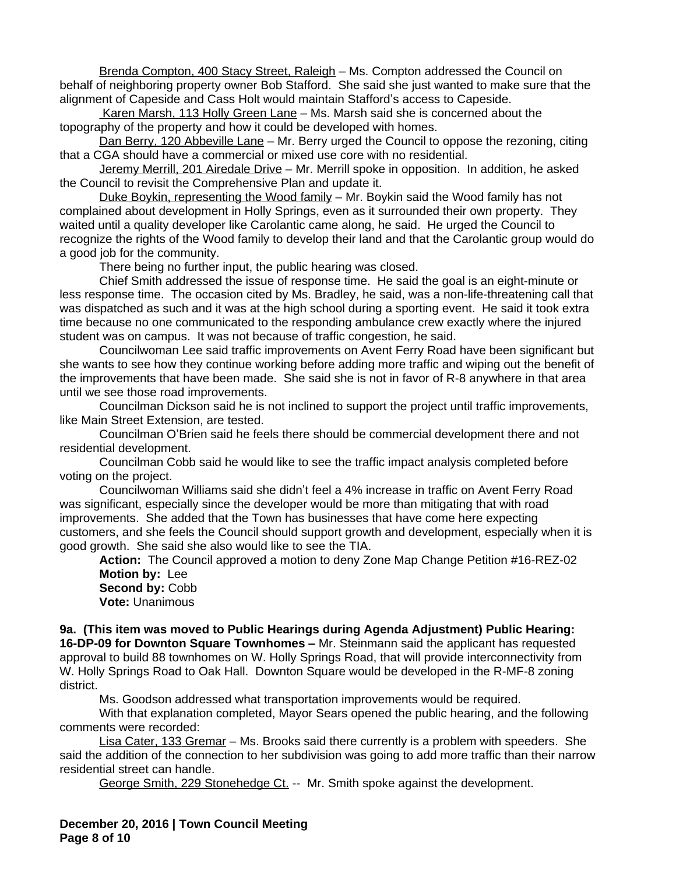Brenda Compton, 400 Stacy Street, Raleigh - Ms. Compton addressed the Council on behalf of neighboring property owner Bob Stafford. She said she just wanted to make sure that the alignment of Capeside and Cass Holt would maintain Stafford's access to Capeside.

Karen Marsh, 113 Holly Green Lane – Ms. Marsh said she is concerned about the topography of the property and how it could be developed with homes.

Dan Berry, 120 Abbeville Lane – Mr. Berry urged the Council to oppose the rezoning, citing that a CGA should have a commercial or mixed use core with no residential.

Jeremy Merrill, 201 Airedale Drive – Mr. Merrill spoke in opposition. In addition, he asked the Council to revisit the Comprehensive Plan and update it.

Duke Boykin, representing the Wood family – Mr. Boykin said the Wood family has not complained about development in Holly Springs, even as it surrounded their own property. They waited until a quality developer like Carolantic came along, he said. He urged the Council to recognize the rights of the Wood family to develop their land and that the Carolantic group would do a good job for the community.

There being no further input, the public hearing was closed.

Chief Smith addressed the issue of response time. He said the goal is an eight-minute or less response time. The occasion cited by Ms. Bradley, he said, was a non-life-threatening call that was dispatched as such and it was at the high school during a sporting event. He said it took extra time because no one communicated to the responding ambulance crew exactly where the injured student was on campus. It was not because of traffic congestion, he said.

Councilwoman Lee said traffic improvements on Avent Ferry Road have been significant but she wants to see how they continue working before adding more traffic and wiping out the benefit of the improvements that have been made. She said she is not in favor of R-8 anywhere in that area until we see those road improvements.

Councilman Dickson said he is not inclined to support the project until traffic improvements, like Main Street Extension, are tested.

Councilman O'Brien said he feels there should be commercial development there and not residential development.

Councilman Cobb said he would like to see the traffic impact analysis completed before voting on the project.

Councilwoman Williams said she didn't feel a 4% increase in traffic on Avent Ferry Road was significant, especially since the developer would be more than mitigating that with road improvements. She added that the Town has businesses that have come here expecting customers, and she feels the Council should support growth and development, especially when it is good growth. She said she also would like to see the TIA.

**Action:** The Council approved a motion to deny Zone Map Change Petition #16-REZ-02 **Motion by:** Lee

Second by: Cobb **Vote:** Unanimous

**9a. (This item was moved to Public Hearings during Agenda Adjustment) Public Hearing: 16-DP-09 for Downton Square Townhomes –** Mr. Steinmann said the applicant has requested approval to build 88 townhomes on W. Holly Springs Road, that will provide interconnectivity from W. Holly Springs Road to Oak Hall. Downton Square would be developed in the R-MF-8 zoning district.

Ms. Goodson addressed what transportation improvements would be required.

With that explanation completed, Mayor Sears opened the public hearing, and the following comments were recorded:

Lisa Cater, 133 Gremar – Ms. Brooks said there currently is a problem with speeders. She said the addition of the connection to her subdivision was going to add more traffic than their narrow residential street can handle.

George Smith, 229 Stonehedge Ct. -- Mr. Smith spoke against the development.

**December 20, 2016 | Town Council Meeting Page 8 of 10**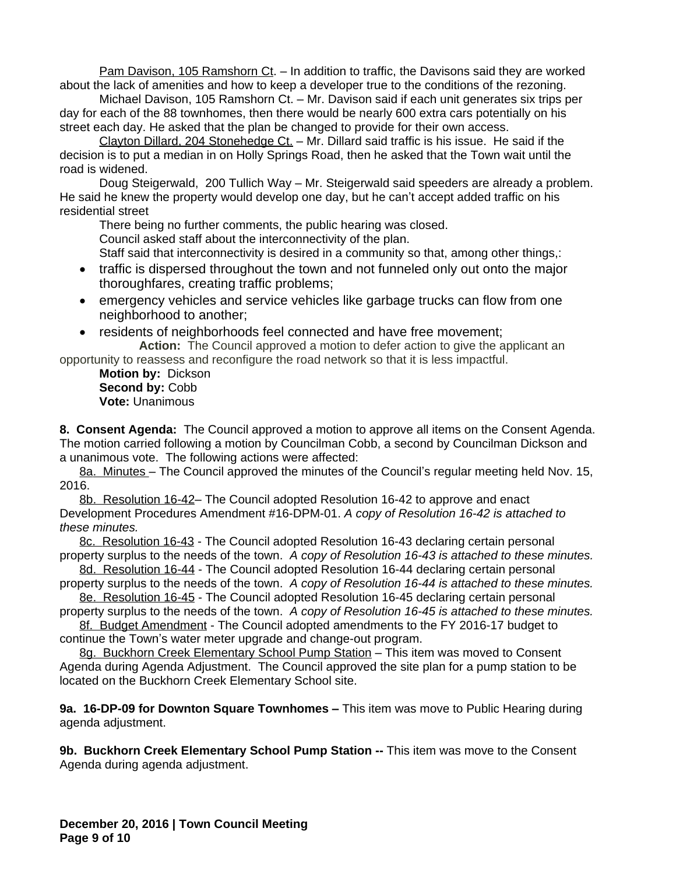Pam Davison, 105 Ramshorn Ct. – In addition to traffic, the Davisons said they are worked about the lack of amenities and how to keep a developer true to the conditions of the rezoning.

Michael Davison, 105 Ramshorn Ct. – Mr. Davison said if each unit generates six trips per day for each of the 88 townhomes, then there would be nearly 600 extra cars potentially on his street each day. He asked that the plan be changed to provide for their own access.

Clayton Dillard, 204 Stonehedge Ct. - Mr. Dillard said traffic is his issue. He said if the decision is to put a median in on Holly Springs Road, then he asked that the Town wait until the road is widened.

Doug Steigerwald, 200 Tullich Way – Mr. Steigerwald said speeders are already a problem. He said he knew the property would develop one day, but he can't accept added traffic on his residential street

There being no further comments, the public hearing was closed.

Council asked staff about the interconnectivity of the plan.

Staff said that interconnectivity is desired in a community so that, among other things,:

- traffic is dispersed throughout the town and not funneled only out onto the major thoroughfares, creating traffic problems;
- emergency vehicles and service vehicles like garbage trucks can flow from one neighborhood to another;
- residents of neighborhoods feel connected and have free movement; **Action:** The Council approved a motion to defer action to give the applicant an

opportunity to reassess and reconfigure the road network so that it is less impactful. **Motion by:** Dickson

Second by: Cobb **Vote:** Unanimous

**8. Consent Agenda:** The Council approved a motion to approve all items on the Consent Agenda. The motion carried following a motion by Councilman Cobb, a second by Councilman Dickson and a unanimous vote. The following actions were affected:

8a. Minutes – The Council approved the minutes of the Council's regular meeting held Nov. 15, 2016.

8b. Resolution 16-42– The Council adopted Resolution 16-42 to approve and enact Development Procedures Amendment #16-DPM-01. *A copy of Resolution 16-42 is attached to these minutes.* 

8c. Resolution 16-43 - The Council adopted Resolution 16-43 declaring certain personal property surplus to the needs of the town. *A copy of Resolution 16-43 is attached to these minutes.*

8d. Resolution 16-44 - The Council adopted Resolution 16-44 declaring certain personal property surplus to the needs of the town. *A copy of Resolution 16-44 is attached to these minutes.*

8e. Resolution 16-45 - The Council adopted Resolution 16-45 declaring certain personal property surplus to the needs of the town. *A copy of Resolution 16-45 is attached to these minutes.*

8f. Budget Amendment - The Council adopted amendments to the FY 2016-17 budget to continue the Town's water meter upgrade and change-out program.

8g. Buckhorn Creek Elementary School Pump Station - This item was moved to Consent Agenda during Agenda Adjustment. The Council approved the site plan for a pump station to be located on the Buckhorn Creek Elementary School site.

**9a. 16-DP-09 for Downton Square Townhomes –** This item was move to Public Hearing during agenda adjustment.

**9b. Buckhorn Creek Elementary School Pump Station --** This item was move to the Consent Agenda during agenda adjustment.